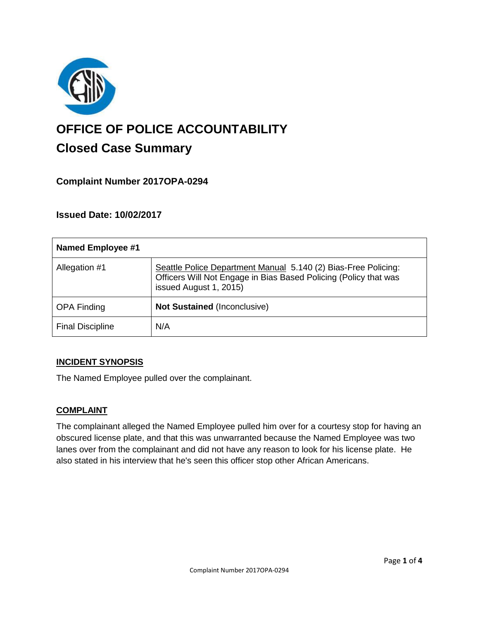

# **OFFICE OF POLICE ACCOUNTABILITY**

# **Closed Case Summary**

## **Complaint Number 2017OPA-0294**

### **Issued Date: 10/02/2017**

| <b>Named Employee #1</b> |                                                                                                                                                              |
|--------------------------|--------------------------------------------------------------------------------------------------------------------------------------------------------------|
| Allegation #1            | Seattle Police Department Manual 5.140 (2) Bias-Free Policing:<br>Officers Will Not Engage in Bias Based Policing (Policy that was<br>issued August 1, 2015) |
| <b>OPA Finding</b>       | <b>Not Sustained (Inconclusive)</b>                                                                                                                          |
| <b>Final Discipline</b>  | N/A                                                                                                                                                          |

#### **INCIDENT SYNOPSIS**

The Named Employee pulled over the complainant.

#### **COMPLAINT**

The complainant alleged the Named Employee pulled him over for a courtesy stop for having an obscured license plate, and that this was unwarranted because the Named Employee was two lanes over from the complainant and did not have any reason to look for his license plate. He also stated in his interview that he's seen this officer stop other African Americans.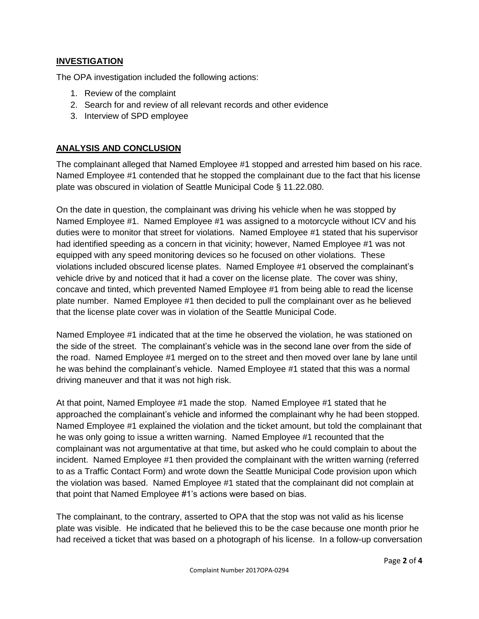#### **INVESTIGATION**

The OPA investigation included the following actions:

- 1. Review of the complaint
- 2. Search for and review of all relevant records and other evidence
- 3. Interview of SPD employee

#### **ANALYSIS AND CONCLUSION**

The complainant alleged that Named Employee #1 stopped and arrested him based on his race. Named Employee #1 contended that he stopped the complainant due to the fact that his license plate was obscured in violation of Seattle Municipal Code § 11.22.080.

On the date in question, the complainant was driving his vehicle when he was stopped by Named Employee #1. Named Employee #1 was assigned to a motorcycle without ICV and his duties were to monitor that street for violations. Named Employee #1 stated that his supervisor had identified speeding as a concern in that vicinity; however, Named Employee #1 was not equipped with any speed monitoring devices so he focused on other violations. These violations included obscured license plates. Named Employee #1 observed the complainant's vehicle drive by and noticed that it had a cover on the license plate. The cover was shiny, concave and tinted, which prevented Named Employee #1 from being able to read the license plate number. Named Employee #1 then decided to pull the complainant over as he believed that the license plate cover was in violation of the Seattle Municipal Code.

Named Employee #1 indicated that at the time he observed the violation, he was stationed on the side of the street. The complainant's vehicle was in the second lane over from the side of the road. Named Employee #1 merged on to the street and then moved over lane by lane until he was behind the complainant's vehicle. Named Employee #1 stated that this was a normal driving maneuver and that it was not high risk.

At that point, Named Employee #1 made the stop. Named Employee #1 stated that he approached the complainant's vehicle and informed the complainant why he had been stopped. Named Employee #1 explained the violation and the ticket amount, but told the complainant that he was only going to issue a written warning. Named Employee #1 recounted that the complainant was not argumentative at that time, but asked who he could complain to about the incident. Named Employee #1 then provided the complainant with the written warning (referred to as a Traffic Contact Form) and wrote down the Seattle Municipal Code provision upon which the violation was based. Named Employee #1 stated that the complainant did not complain at that point that Named Employee #1's actions were based on bias.

The complainant, to the contrary, asserted to OPA that the stop was not valid as his license plate was visible. He indicated that he believed this to be the case because one month prior he had received a ticket that was based on a photograph of his license. In a follow-up conversation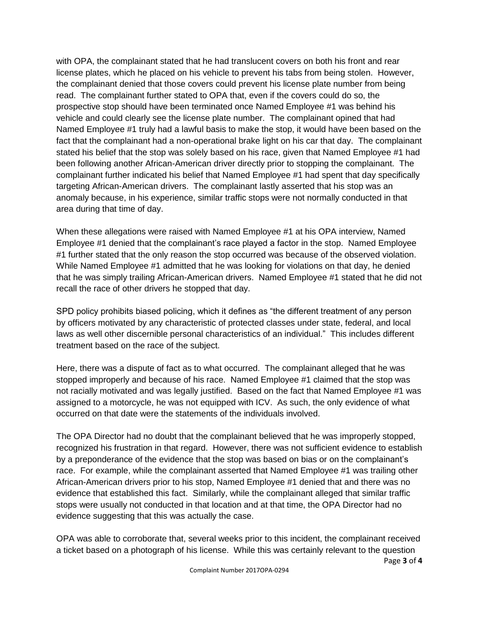with OPA, the complainant stated that he had translucent covers on both his front and rear license plates, which he placed on his vehicle to prevent his tabs from being stolen. However, the complainant denied that those covers could prevent his license plate number from being read. The complainant further stated to OPA that, even if the covers could do so, the prospective stop should have been terminated once Named Employee #1 was behind his vehicle and could clearly see the license plate number. The complainant opined that had Named Employee #1 truly had a lawful basis to make the stop, it would have been based on the fact that the complainant had a non-operational brake light on his car that day. The complainant stated his belief that the stop was solely based on his race, given that Named Employee #1 had been following another African-American driver directly prior to stopping the complainant. The complainant further indicated his belief that Named Employee #1 had spent that day specifically targeting African-American drivers. The complainant lastly asserted that his stop was an anomaly because, in his experience, similar traffic stops were not normally conducted in that area during that time of day.

When these allegations were raised with Named Employee #1 at his OPA interview, Named Employee #1 denied that the complainant's race played a factor in the stop. Named Employee #1 further stated that the only reason the stop occurred was because of the observed violation. While Named Employee #1 admitted that he was looking for violations on that day, he denied that he was simply trailing African-American drivers. Named Employee #1 stated that he did not recall the race of other drivers he stopped that day.

SPD policy prohibits biased policing, which it defines as "the different treatment of any person by officers motivated by any characteristic of protected classes under state, federal, and local laws as well other discernible personal characteristics of an individual." This includes different treatment based on the race of the subject.

Here, there was a dispute of fact as to what occurred. The complainant alleged that he was stopped improperly and because of his race. Named Employee #1 claimed that the stop was not racially motivated and was legally justified. Based on the fact that Named Employee #1 was assigned to a motorcycle, he was not equipped with ICV. As such, the only evidence of what occurred on that date were the statements of the individuals involved.

The OPA Director had no doubt that the complainant believed that he was improperly stopped, recognized his frustration in that regard. However, there was not sufficient evidence to establish by a preponderance of the evidence that the stop was based on bias or on the complainant's race. For example, while the complainant asserted that Named Employee #1 was trailing other African-American drivers prior to his stop, Named Employee #1 denied that and there was no evidence that established this fact. Similarly, while the complainant alleged that similar traffic stops were usually not conducted in that location and at that time, the OPA Director had no evidence suggesting that this was actually the case.

OPA was able to corroborate that, several weeks prior to this incident, the complainant received a ticket based on a photograph of his license. While this was certainly relevant to the question